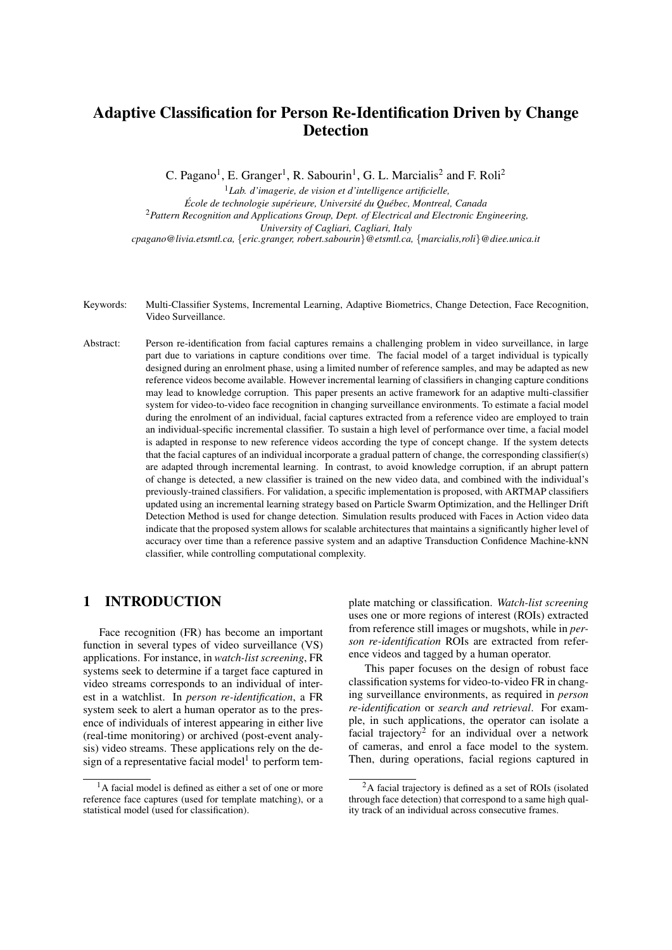# Adaptive Classification for Person Re-Identification Driven by Change Detection

C. Pagano<sup>1</sup>, E. Granger<sup>1</sup>, R. Sabourin<sup>1</sup>, G. L. Marcialis<sup>2</sup> and F. Roli<sup>2</sup>

<sup>1</sup>*Lab. d'imagerie, de vision et d'intelligence artificielle,*  $École de technologie supérieure, Université du Québec, Montreal, Canada$ <sup>2</sup>*Pattern Recognition and Applications Group, Dept. of Electrical and Electronic Engineering, University of Cagliari, Cagliari, Italy cpagano@livia.etsmtl.ca,* {*eric.granger, robert.sabourin*}*@etsmtl.ca,* {*marcialis,roli*}*@diee.unica.it*

- Keywords: Multi-Classifier Systems, Incremental Learning, Adaptive Biometrics, Change Detection, Face Recognition, Video Surveillance.
- Abstract: Person re-identification from facial captures remains a challenging problem in video surveillance, in large part due to variations in capture conditions over time. The facial model of a target individual is typically designed during an enrolment phase, using a limited number of reference samples, and may be adapted as new reference videos become available. However incremental learning of classifiers in changing capture conditions may lead to knowledge corruption. This paper presents an active framework for an adaptive multi-classifier system for video-to-video face recognition in changing surveillance environments. To estimate a facial model during the enrolment of an individual, facial captures extracted from a reference video are employed to train an individual-specific incremental classifier. To sustain a high level of performance over time, a facial model is adapted in response to new reference videos according the type of concept change. If the system detects that the facial captures of an individual incorporate a gradual pattern of change, the corresponding classifier(s) are adapted through incremental learning. In contrast, to avoid knowledge corruption, if an abrupt pattern of change is detected, a new classifier is trained on the new video data, and combined with the individual's previously-trained classifiers. For validation, a specific implementation is proposed, with ARTMAP classifiers updated using an incremental learning strategy based on Particle Swarm Optimization, and the Hellinger Drift Detection Method is used for change detection. Simulation results produced with Faces in Action video data indicate that the proposed system allows for scalable architectures that maintains a significantly higher level of accuracy over time than a reference passive system and an adaptive Transduction Confidence Machine-kNN classifier, while controlling computational complexity.

### 1 INTRODUCTION

Face recognition (FR) has become an important function in several types of video surveillance (VS) applications. For instance, in *watch-list screening*, FR systems seek to determine if a target face captured in video streams corresponds to an individual of interest in a watchlist. In *person re-identification*, a FR system seek to alert a human operator as to the presence of individuals of interest appearing in either live (real-time monitoring) or archived (post-event analysis) video streams. These applications rely on the design of a representative facial model<sup>1</sup> to perform template matching or classification. *Watch-list screening* uses one or more regions of interest (ROIs) extracted from reference still images or mugshots, while in *person re-identification* ROIs are extracted from reference videos and tagged by a human operator.

This paper focuses on the design of robust face classification systems for video-to-video FR in changing surveillance environments, as required in *person re-identification* or *search and retrieval*. For example, in such applications, the operator can isolate a facial trajectory<sup>2</sup> for an individual over a network of cameras, and enrol a face model to the system. Then, during operations, facial regions captured in

 $<sup>1</sup>A$  facial model is defined as either a set of one or more</sup> reference face captures (used for template matching), or a statistical model (used for classification).

<sup>2</sup>A facial trajectory is defined as a set of ROIs (isolated through face detection) that correspond to a same high quality track of an individual across consecutive frames.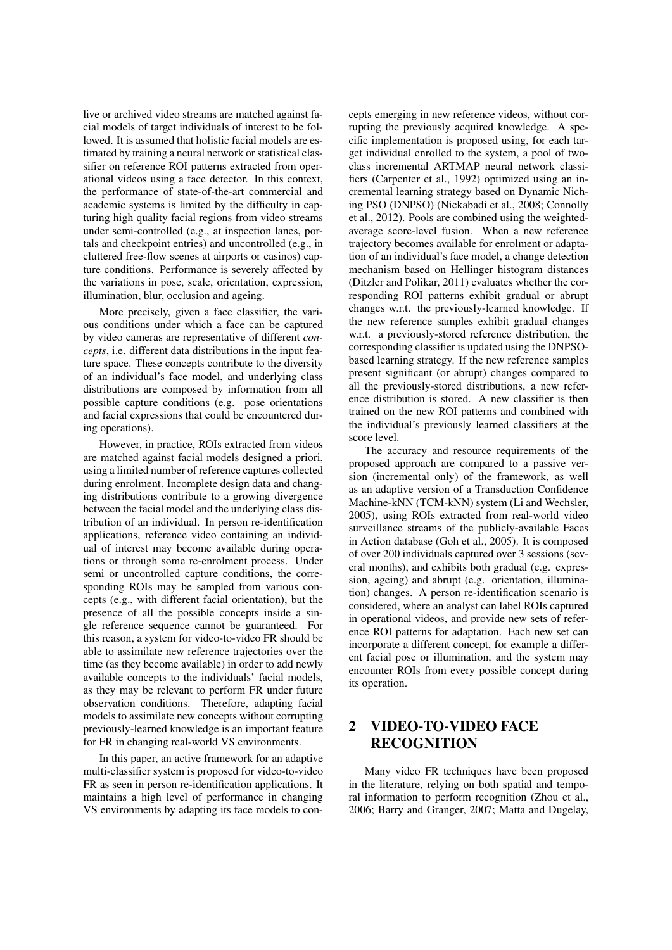live or archived video streams are matched against facial models of target individuals of interest to be followed. It is assumed that holistic facial models are estimated by training a neural network or statistical classifier on reference ROI patterns extracted from operational videos using a face detector. In this context, the performance of state-of-the-art commercial and academic systems is limited by the difficulty in capturing high quality facial regions from video streams under semi-controlled (e.g., at inspection lanes, portals and checkpoint entries) and uncontrolled (e.g., in cluttered free-flow scenes at airports or casinos) capture conditions. Performance is severely affected by the variations in pose, scale, orientation, expression, illumination, blur, occlusion and ageing.

More precisely, given a face classifier, the various conditions under which a face can be captured by video cameras are representative of different *concepts*, i.e. different data distributions in the input feature space. These concepts contribute to the diversity of an individual's face model, and underlying class distributions are composed by information from all possible capture conditions (e.g. pose orientations and facial expressions that could be encountered during operations).

However, in practice, ROIs extracted from videos are matched against facial models designed a priori, using a limited number of reference captures collected during enrolment. Incomplete design data and changing distributions contribute to a growing divergence between the facial model and the underlying class distribution of an individual. In person re-identification applications, reference video containing an individual of interest may become available during operations or through some re-enrolment process. Under semi or uncontrolled capture conditions, the corresponding ROIs may be sampled from various concepts (e.g., with different facial orientation), but the presence of all the possible concepts inside a single reference sequence cannot be guaranteed. For this reason, a system for video-to-video FR should be able to assimilate new reference trajectories over the time (as they become available) in order to add newly available concepts to the individuals' facial models, as they may be relevant to perform FR under future observation conditions. Therefore, adapting facial models to assimilate new concepts without corrupting previously-learned knowledge is an important feature for FR in changing real-world VS environments.

In this paper, an active framework for an adaptive multi-classifier system is proposed for video-to-video FR as seen in person re-identification applications. It maintains a high level of performance in changing VS environments by adapting its face models to concepts emerging in new reference videos, without corrupting the previously acquired knowledge. A specific implementation is proposed using, for each target individual enrolled to the system, a pool of twoclass incremental ARTMAP neural network classifiers (Carpenter et al., 1992) optimized using an incremental learning strategy based on Dynamic Niching PSO (DNPSO) (Nickabadi et al., 2008; Connolly et al., 2012). Pools are combined using the weightedaverage score-level fusion. When a new reference trajectory becomes available for enrolment or adaptation of an individual's face model, a change detection mechanism based on Hellinger histogram distances (Ditzler and Polikar, 2011) evaluates whether the corresponding ROI patterns exhibit gradual or abrupt changes w.r.t. the previously-learned knowledge. If the new reference samples exhibit gradual changes w.r.t. a previously-stored reference distribution, the corresponding classifier is updated using the DNPSObased learning strategy. If the new reference samples present significant (or abrupt) changes compared to all the previously-stored distributions, a new reference distribution is stored. A new classifier is then trained on the new ROI patterns and combined with the individual's previously learned classifiers at the score level.

The accuracy and resource requirements of the proposed approach are compared to a passive version (incremental only) of the framework, as well as an adaptive version of a Transduction Confidence Machine-kNN (TCM-kNN) system (Li and Wechsler, 2005), using ROIs extracted from real-world video surveillance streams of the publicly-available Faces in Action database (Goh et al., 2005). It is composed of over 200 individuals captured over 3 sessions (several months), and exhibits both gradual (e.g. expression, ageing) and abrupt (e.g. orientation, illumination) changes. A person re-identification scenario is considered, where an analyst can label ROIs captured in operational videos, and provide new sets of reference ROI patterns for adaptation. Each new set can incorporate a different concept, for example a different facial pose or illumination, and the system may encounter ROIs from every possible concept during its operation.

## 2 VIDEO-TO-VIDEO FACE RECOGNITION

Many video FR techniques have been proposed in the literature, relying on both spatial and temporal information to perform recognition (Zhou et al., 2006; Barry and Granger, 2007; Matta and Dugelay,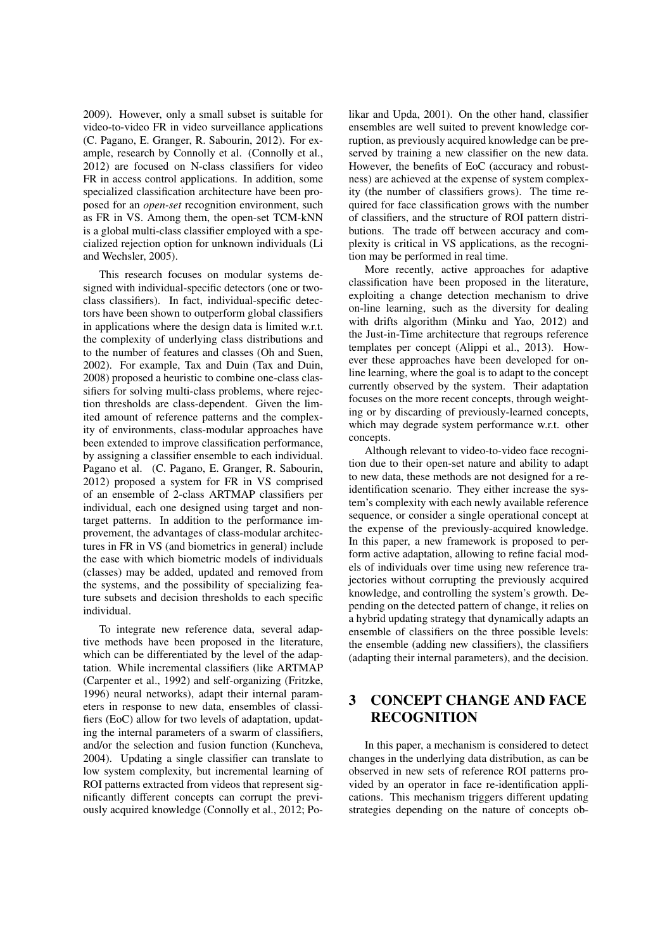2009). However, only a small subset is suitable for video-to-video FR in video surveillance applications (C. Pagano, E. Granger, R. Sabourin, 2012). For example, research by Connolly et al. (Connolly et al., 2012) are focused on N-class classifiers for video FR in access control applications. In addition, some specialized classification architecture have been proposed for an *open-set* recognition environment, such as FR in VS. Among them, the open-set TCM-kNN is a global multi-class classifier employed with a specialized rejection option for unknown individuals (Li and Wechsler, 2005).

This research focuses on modular systems designed with individual-specific detectors (one or twoclass classifiers). In fact, individual-specific detectors have been shown to outperform global classifiers in applications where the design data is limited w.r.t. the complexity of underlying class distributions and to the number of features and classes (Oh and Suen, 2002). For example, Tax and Duin (Tax and Duin, 2008) proposed a heuristic to combine one-class classifiers for solving multi-class problems, where rejection thresholds are class-dependent. Given the limited amount of reference patterns and the complexity of environments, class-modular approaches have been extended to improve classification performance, by assigning a classifier ensemble to each individual. Pagano et al. (C. Pagano, E. Granger, R. Sabourin, 2012) proposed a system for FR in VS comprised of an ensemble of 2-class ARTMAP classifiers per individual, each one designed using target and nontarget patterns. In addition to the performance improvement, the advantages of class-modular architectures in FR in VS (and biometrics in general) include the ease with which biometric models of individuals (classes) may be added, updated and removed from the systems, and the possibility of specializing feature subsets and decision thresholds to each specific individual.

To integrate new reference data, several adaptive methods have been proposed in the literature, which can be differentiated by the level of the adaptation. While incremental classifiers (like ARTMAP (Carpenter et al., 1992) and self-organizing (Fritzke, 1996) neural networks), adapt their internal parameters in response to new data, ensembles of classifiers (EoC) allow for two levels of adaptation, updating the internal parameters of a swarm of classifiers, and/or the selection and fusion function (Kuncheva, 2004). Updating a single classifier can translate to low system complexity, but incremental learning of ROI patterns extracted from videos that represent significantly different concepts can corrupt the previously acquired knowledge (Connolly et al., 2012; Po-

likar and Upda, 2001). On the other hand, classifier ensembles are well suited to prevent knowledge corruption, as previously acquired knowledge can be preserved by training a new classifier on the new data. However, the benefits of EoC (accuracy and robustness) are achieved at the expense of system complexity (the number of classifiers grows). The time required for face classification grows with the number of classifiers, and the structure of ROI pattern distributions. The trade off between accuracy and complexity is critical in VS applications, as the recognition may be performed in real time.

More recently, active approaches for adaptive classification have been proposed in the literature, exploiting a change detection mechanism to drive on-line learning, such as the diversity for dealing with drifts algorithm (Minku and Yao, 2012) and the Just-in-Time architecture that regroups reference templates per concept (Alippi et al., 2013). However these approaches have been developed for online learning, where the goal is to adapt to the concept currently observed by the system. Their adaptation focuses on the more recent concepts, through weighting or by discarding of previously-learned concepts, which may degrade system performance w.r.t. other concepts.

Although relevant to video-to-video face recognition due to their open-set nature and ability to adapt to new data, these methods are not designed for a reidentification scenario. They either increase the system's complexity with each newly available reference sequence, or consider a single operational concept at the expense of the previously-acquired knowledge. In this paper, a new framework is proposed to perform active adaptation, allowing to refine facial models of individuals over time using new reference trajectories without corrupting the previously acquired knowledge, and controlling the system's growth. Depending on the detected pattern of change, it relies on a hybrid updating strategy that dynamically adapts an ensemble of classifiers on the three possible levels: the ensemble (adding new classifiers), the classifiers (adapting their internal parameters), and the decision.

## 3 CONCEPT CHANGE AND FACE RECOGNITION

In this paper, a mechanism is considered to detect changes in the underlying data distribution, as can be observed in new sets of reference ROI patterns provided by an operator in face re-identification applications. This mechanism triggers different updating strategies depending on the nature of concepts ob-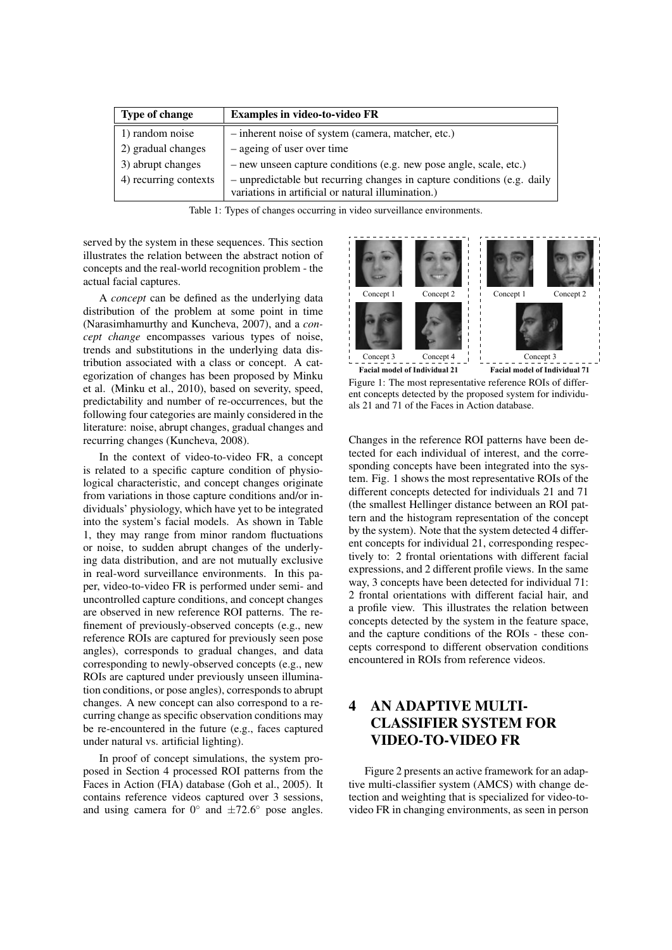| Type of change        | <b>Examples in video-to-video FR</b>                                                                                          |
|-----------------------|-------------------------------------------------------------------------------------------------------------------------------|
| 1) random noise       | - inherent noise of system (camera, matcher, etc.)                                                                            |
| 2) gradual changes    | – ageing of user over time                                                                                                    |
| 3) abrupt changes     | - new unseen capture conditions (e.g. new pose angle, scale, etc.)                                                            |
| 4) recurring contexts | - unpredictable but recurring changes in capture conditions (e.g. daily<br>variations in artificial or natural illumination.) |

Table 1: Types of changes occurring in video surveillance environments.

served by the system in these sequences. This section illustrates the relation between the abstract notion of concepts and the real-world recognition problem - the actual facial captures.

A *concept* can be defined as the underlying data distribution of the problem at some point in time (Narasimhamurthy and Kuncheva, 2007), and a *concept change* encompasses various types of noise, trends and substitutions in the underlying data distribution associated with a class or concept. A categorization of changes has been proposed by Minku et al. (Minku et al., 2010), based on severity, speed, predictability and number of re-occurrences, but the following four categories are mainly considered in the literature: noise, abrupt changes, gradual changes and recurring changes (Kuncheva, 2008).

In the context of video-to-video FR, a concept is related to a specific capture condition of physiological characteristic, and concept changes originate from variations in those capture conditions and/or individuals' physiology, which have yet to be integrated into the system's facial models. As shown in Table 1, they may range from minor random fluctuations or noise, to sudden abrupt changes of the underlying data distribution, and are not mutually exclusive in real-word surveillance environments. In this paper, video-to-video FR is performed under semi- and uncontrolled capture conditions, and concept changes are observed in new reference ROI patterns. The refinement of previously-observed concepts (e.g., new reference ROIs are captured for previously seen pose angles), corresponds to gradual changes, and data corresponding to newly-observed concepts (e.g., new ROIs are captured under previously unseen illumination conditions, or pose angles), corresponds to abrupt changes. A new concept can also correspond to a recurring change as specific observation conditions may be re-encountered in the future (e.g., faces captured under natural vs. artificial lighting).

In proof of concept simulations, the system proposed in Section 4 processed ROI patterns from the Faces in Action (FIA) database (Goh et al., 2005). It contains reference videos captured over 3 sessions, and using camera for  $0^{\circ}$  and  $\pm 72.6^{\circ}$  pose angles.



Figure 1: The most representative reference ROIs of different concepts detected by the proposed system for individuals 21 and 71 of the Faces in Action database.

Changes in the reference ROI patterns have been detected for each individual of interest, and the corresponding concepts have been integrated into the system. Fig. 1 shows the most representative ROIs of the different concepts detected for individuals 21 and 71 (the smallest Hellinger distance between an ROI pattern and the histogram representation of the concept by the system). Note that the system detected 4 different concepts for individual 21, corresponding respectively to: 2 frontal orientations with different facial expressions, and 2 different profile views. In the same way, 3 concepts have been detected for individual 71: 2 frontal orientations with different facial hair, and a profile view. This illustrates the relation between concepts detected by the system in the feature space, and the capture conditions of the ROIs - these concepts correspond to different observation conditions encountered in ROIs from reference videos.

## 4 AN ADAPTIVE MULTI-CLASSIFIER SYSTEM FOR VIDEO-TO-VIDEO FR

Figure 2 presents an active framework for an adaptive multi-classifier system (AMCS) with change detection and weighting that is specialized for video-tovideo FR in changing environments, as seen in person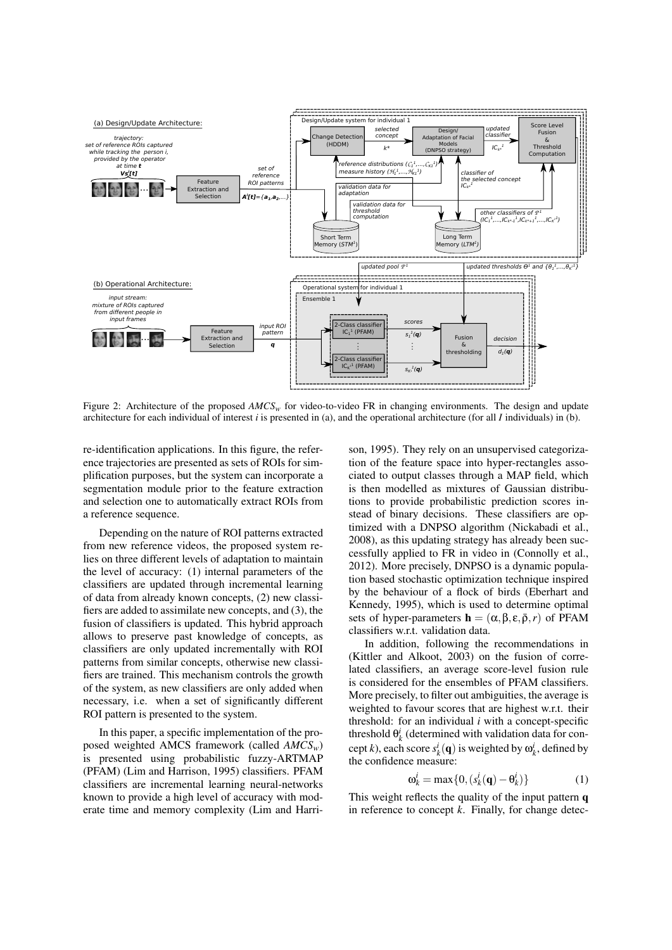

Figure 2: Architecture of the proposed AMCS<sub>*w*</sub> for video-to-video FR in changing environments. The design and update architecture for each individual of interest *i* is presented in (a), and the operational architecture (for all *I* individuals) in (b).

re-identification applications. In this figure, the reference trajectories are presented as sets of ROIs for simplification purposes, but the system can incorporate a segmentation module prior to the feature extraction and selection one to automatically extract ROIs from a reference sequence.

Depending on the nature of ROI patterns extracted from new reference videos, the proposed system relies on three different levels of adaptation to maintain the level of accuracy: (1) internal parameters of the classifiers are updated through incremental learning of data from already known concepts, (2) new classifiers are added to assimilate new concepts, and (3), the fusion of classifiers is updated. This hybrid approach allows to preserve past knowledge of concepts, as classifiers are only updated incrementally with ROI patterns from similar concepts, otherwise new classifiers are trained. This mechanism controls the growth of the system, as new classifiers are only added when necessary, i.e. when a set of significantly different ROI pattern is presented to the system.

In this paper, a specific implementation of the proposed weighted AMCS framework (called *AMCSw*) is presented using probabilistic fuzzy-ARTMAP (PFAM) (Lim and Harrison, 1995) classifiers. PFAM classifiers are incremental learning neural-networks known to provide a high level of accuracy with moderate time and memory complexity (Lim and Harrison, 1995). They rely on an unsupervised categorization of the feature space into hyper-rectangles associated to output classes through a MAP field, which is then modelled as mixtures of Gaussian distributions to provide probabilistic prediction scores instead of binary decisions. These classifiers are optimized with a DNPSO algorithm (Nickabadi et al., 2008), as this updating strategy has already been successfully applied to FR in video in (Connolly et al., 2012). More precisely, DNPSO is a dynamic population based stochastic optimization technique inspired by the behaviour of a flock of birds (Eberhart and Kennedy, 1995), which is used to determine optimal sets of hyper-parameters  $\mathbf{h} = (\alpha, \beta, \varepsilon, \bar{\rho}, r)$  of PFAM classifiers w.r.t. validation data.

In addition, following the recommendations in (Kittler and Alkoot, 2003) on the fusion of correlated classifiers, an average score-level fusion rule is considered for the ensembles of PFAM classifiers. More precisely, to filter out ambiguities, the average is weighted to favour scores that are highest w.r.t. their threshold: for an individual *i* with a concept-specific threshold  $\theta_k^i$  (determined with validation data for concept *k*), each score  $s_k^i(\mathbf{q})$  is weighted by  $\omega_k^i$ , defined by the confidence measure:

$$
\mathbf{\omega}_k^i = \max\{0, (s_k^i(\mathbf{q}) - \mathbf{\theta}_k^i)\}\tag{1}
$$

This weight reflects the quality of the input pattern q in reference to concept *k*. Finally, for change detec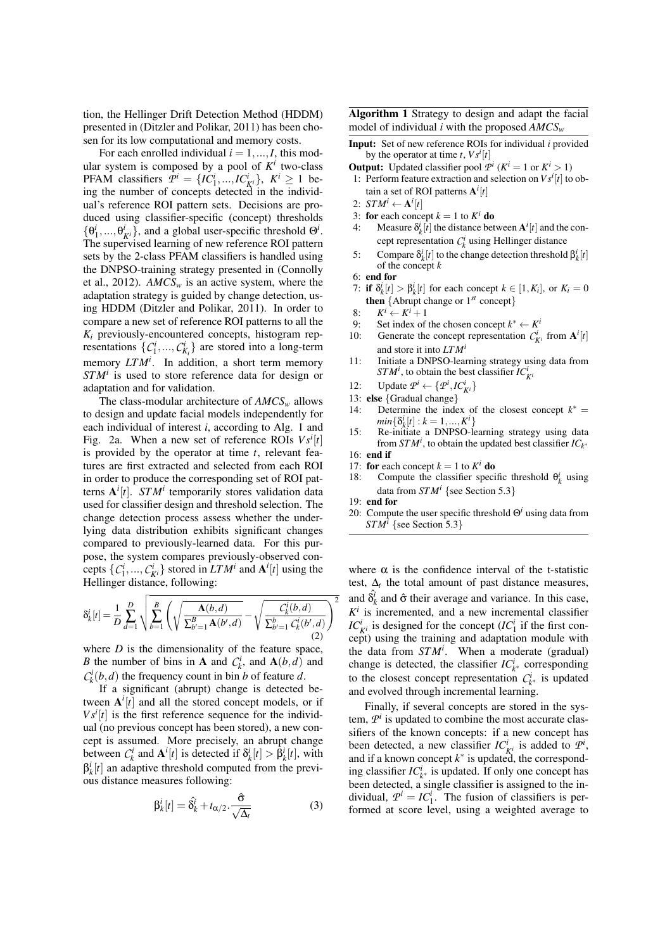tion, the Hellinger Drift Detection Method (HDDM) presented in (Ditzler and Polikar, 2011) has been chosen for its low computational and memory costs.

For each enrolled individual  $i = 1, ..., I$ , this modular system is composed by a pool of  $K^i$  two-class **PFAM** classifiers  $\mathcal{P}^i = \{IC^i_1, ..., IC^i_K\}$ ,  $K^i \ge 1$  being the number of concepts detected in the individual's reference ROI pattern sets. Decisions are produced using classifier-specific (concept) thresholds  $\{\theta_1^i, ..., \theta_{K^i}^i\}$ , and a global user-specific threshold  $\Theta^i$ . The supervised learning of new reference ROI pattern sets by the 2-class PFAM classifiers is handled using the DNPSO-training strategy presented in (Connolly et al., 2012). *AMCS<sup>w</sup>* is an active system, where the adaptation strategy is guided by change detection, using HDDM (Ditzler and Polikar, 2011). In order to compare a new set of reference ROI patterns to all the  $K_i$  previously-encountered concepts, histogram representations  $\{C_1^i, ..., C_{K_i}^i\}$  are stored into a long-term memory *LTM<sup>i</sup>* . In addition, a short term memory *STM<sup>i</sup>* is used to store reference data for design or adaptation and for validation.

The class-modular architecture of *AMCS<sup>w</sup>* allows to design and update facial models independently for each individual of interest *i*, according to Alg. 1 and Fig. 2a. When a new set of reference ROIs  $V s^i[t]$ is provided by the operator at time *t*, relevant features are first extracted and selected from each ROI in order to produce the corresponding set of ROI patterns A *i* [*t*]. *STM<sup>i</sup>* temporarily stores validation data used for classifier design and threshold selection. The change detection process assess whether the underlying data distribution exhibits significant changes compared to previously-learned data. For this purpose, the system compares previously-observed concepts  $\{C_1^i, ..., C_{K^i}^i\}$  stored in *LTM<sup>i</sup>* and  $A^i[t]$  using the Hellinger distance, following:

$$
\delta_{k}^{i}[t] = \frac{1}{D} \sum_{d=1}^{D} \sqrt{\sum_{b=1}^{B} \left( \sqrt{\frac{\mathbf{A}(b,d)}{\sum_{b'=1}^{B} \mathbf{A}(b',d)}} - \sqrt{\frac{C_{k}^{i}(b,d)}{\sum_{b'=1}^{b} C_{k}^{i}(b',d)}} \right)^{2}}
$$
(2)

where  $D$  is the dimensionality of the feature space, *B* the number of bins in **A** and  $C_k^i$ , and  $A(b,d)$  and  $C_k^i(b,d)$  the frequency count in bin *b* of feature *d*.

If a significant (abrupt) change is detected between  $A^{i}[t]$  and all the stored concept models, or if  $V s^i[t]$  is the first reference sequence for the individual (no previous concept has been stored), a new concept is assumed. More precisely, an abrupt change between  $C_k^i$  and  $\mathbf{A}^i[t]$  is detected if  $\delta_k^i[t] > \hat{\beta}_k^i[t]$ , with  $\beta_k^i[t]$  an adaptive threshold computed from the previous distance measures following:

$$
\beta_k^i[t] = \hat{\delta}_k^i + t_{\alpha/2} \cdot \frac{\hat{\sigma}}{\sqrt{\Delta_t}}
$$
 (3)

Algorithm 1 Strategy to design and adapt the facial model of individual *i* with the proposed *AMCS<sup>w</sup>*

- Input: Set of new reference ROIs for individual *i* provided by the operator at time  $t$ ,  $V s^i[t]$
- **Output:** Updated classifier pool  $\mathcal{P}^i$  ( $K^i = 1$  or  $K^i > 1$ ) 1: Perform feature extraction and selection on  $V s^i[t]$  to obtain a set of ROI patterns A *i* [*t*]
- 2:  $STM^i \leftarrow A^i[t]$
- 3: for each concept  $k = 1$  to  $K^i$  do
- 4: Measure  $\delta^i_k[\hat{t}]$  the distance between  $A^i[t]$  and the concept representation  $C_k^i$  using Hellinger distance
- 5: Compare  $\delta^i_k[t]$  to the change detection threshold  $\beta^i_k[t]$ of the concept *k*
- 6: end for
- 7: if  $\delta^i_k[t] > \beta^i_k[t]$  for each concept  $k \in [1, K_i]$ , or  $K_i = 0$ **then**  $\{$ Abrupt change or  $1^{st}$  concept $\}$
- 8:  $K^i \leftarrow K^i + 1$
- 9: Set index of the chosen concept  $k^* \leftarrow K^i$
- 10: Generate the concept representation  $C_{K^i}^i$  from  $A^i[t]$ and store it into *LTM<sup>i</sup>*
- 11: Initiate a DNPSO-learning strategy using data from *STM<sup><i>i*</sup></sup>, to obtain the best classifier  $IC_K^i$
- 12: Update  $\mathcal{P}^i \leftarrow {\mathcal{P}^i, IC^i_{K^i}}$
- 13: else {Gradual change}
- 14: Determine the index of the closest concept  $k^* =$  $min\{\delta^i_k[t] : k = 1, ..., K^i\}$
- 15: Re-initiate a DNPSO-learning strategy using data from  $STM<sup>i</sup>$ , to obtain the updated best classifier  $IC<sub>k</sub>$ <sup>\*</sup>
- 16: end if
- 17: **for** each concept  $k = 1$  to  $K^i$  **do**
- 18: Compute the classifier specific threshold  $\theta_k^i$  using data from  $STM<sup>i</sup>$  {see Section 5.3}
- 19: end for
- 20: Compute the user specific threshold Θ*<sup>i</sup>* using data from *STM<sup>i</sup>* {see Section 5.3}

where  $\alpha$  is the confidence interval of the t-statistic test,  $\Delta_t$  the total amount of past distance measures, and  $\hat{\delta}_k^i$  and  $\hat{\sigma}$  their average and variance. In this case,  $K^i$  is incremented, and a new incremental classifier *IC*<sup>*i*</sup><sub>*K<sup><i>i*</sup></sup> is designed for the concept (*IC*<sup>*i*</sup><sub>1</sub> if the first con-</sub> cept) using the training and adaptation module with the data from *STM<sup>i</sup>* . When a moderate (gradual) change is detected, the classifier  $IC_{k^*}^i$  corresponding to the closest concept representation  $C_{k^*}^i$  is updated and evolved through incremental learning.

Finally, if several concepts are stored in the system,  $P^i$  is updated to combine the most accurate classifiers of the known concepts: if a new concept has been detected, a new classifier  $IC_{K^i}^i$  is added to  $\mathcal{P}^i$ , and if a known concept  $k^*$  is updated, the corresponding classifier  $IC_{k^*}^i$  is updated. If only one concept has been detected, a single classifier is assigned to the individual,  $\mathcal{P}^i = IC_1^i$ . The fusion of classifiers is performed at score level, using a weighted average to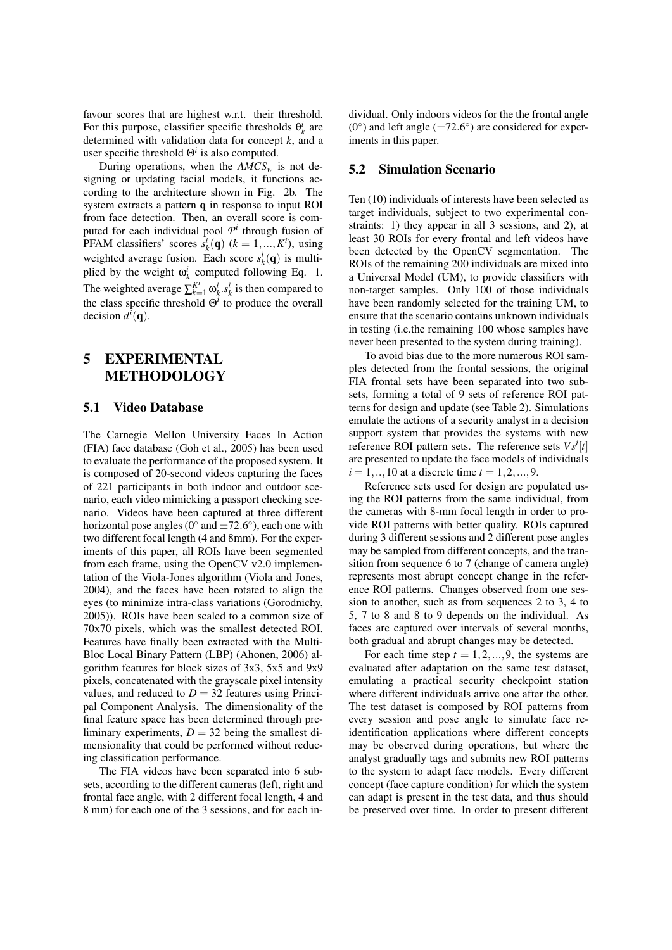favour scores that are highest w.r.t. their threshold. For this purpose, classifier specific thresholds  $\theta_k^i$  are determined with validation data for concept *k*, and a user specific threshold Θ*<sup>i</sup>* is also computed.

During operations, when the  $AMCS<sub>w</sub>$  is not designing or updating facial models, it functions according to the architecture shown in Fig. 2b. The system extracts a pattern q in response to input ROI from face detection. Then, an overall score is computed for each individual pool  $\mathcal{P}^i$  through fusion of PFAM classifiers' scores  $\overline{s_k^i}(\mathbf{q})$  ( $k = 1, ..., K^i$ ), using weighted average fusion. Each score  $s_k^i(\mathbf{q})$  is multiplied by the weight  $\omega_k^i$  computed following Eq. 1. The weighted average  $\sum_{k=1}^{K^i} \omega_k^i . s_k^i$  is then compared to the class specific threshold  $\Theta^i$  to produce the overall decision  $d^{i}(\mathbf{q})$ .

## 5 EXPERIMENTAL METHODOLOGY

#### 5.1 Video Database

The Carnegie Mellon University Faces In Action (FIA) face database (Goh et al., 2005) has been used to evaluate the performance of the proposed system. It is composed of 20-second videos capturing the faces of 221 participants in both indoor and outdoor scenario, each video mimicking a passport checking scenario. Videos have been captured at three different horizontal pose angles ( $0^{\circ}$  and  $\pm 72.6^{\circ}$ ), each one with two different focal length (4 and 8mm). For the experiments of this paper, all ROIs have been segmented from each frame, using the OpenCV v2.0 implementation of the Viola-Jones algorithm (Viola and Jones, 2004), and the faces have been rotated to align the eyes (to minimize intra-class variations (Gorodnichy, 2005)). ROIs have been scaled to a common size of 70x70 pixels, which was the smallest detected ROI. Features have finally been extracted with the Multi-Bloc Local Binary Pattern (LBP) (Ahonen, 2006) algorithm features for block sizes of 3x3, 5x5 and 9x9 pixels, concatenated with the grayscale pixel intensity values, and reduced to  $D = 32$  features using Principal Component Analysis. The dimensionality of the final feature space has been determined through preliminary experiments,  $D = 32$  being the smallest dimensionality that could be performed without reducing classification performance.

The FIA videos have been separated into 6 subsets, according to the different cameras (left, right and frontal face angle, with 2 different focal length, 4 and 8 mm) for each one of the 3 sessions, and for each individual. Only indoors videos for the the frontal angle  $(0^{\circ})$  and left angle ( $\pm 72.6^{\circ}$ ) are considered for experiments in this paper.

#### 5.2 Simulation Scenario

Ten (10) individuals of interests have been selected as target individuals, subject to two experimental constraints: 1) they appear in all 3 sessions, and 2), at least 30 ROIs for every frontal and left videos have been detected by the OpenCV segmentation. The ROIs of the remaining 200 individuals are mixed into a Universal Model (UM), to provide classifiers with non-target samples. Only 100 of those individuals have been randomly selected for the training UM, to ensure that the scenario contains unknown individuals in testing (i.e.the remaining 100 whose samples have never been presented to the system during training).

To avoid bias due to the more numerous ROI samples detected from the frontal sessions, the original FIA frontal sets have been separated into two subsets, forming a total of 9 sets of reference ROI patterns for design and update (see Table 2). Simulations emulate the actions of a security analyst in a decision support system that provides the systems with new reference ROI pattern sets. The reference sets  $V s^i[t]$ are presented to update the face models of individuals  $i = 1, ..., 10$  at a discrete time  $t = 1, 2, ..., 9$ .

Reference sets used for design are populated using the ROI patterns from the same individual, from the cameras with 8-mm focal length in order to provide ROI patterns with better quality. ROIs captured during 3 different sessions and 2 different pose angles may be sampled from different concepts, and the transition from sequence 6 to 7 (change of camera angle) represents most abrupt concept change in the reference ROI patterns. Changes observed from one session to another, such as from sequences 2 to 3, 4 to 5, 7 to 8 and 8 to 9 depends on the individual. As faces are captured over intervals of several months, both gradual and abrupt changes may be detected.

For each time step  $t = 1, 2, \dots, 9$ , the systems are evaluated after adaptation on the same test dataset, emulating a practical security checkpoint station where different individuals arrive one after the other. The test dataset is composed by ROI patterns from every session and pose angle to simulate face reidentification applications where different concepts may be observed during operations, but where the analyst gradually tags and submits new ROI patterns to the system to adapt face models. Every different concept (face capture condition) for which the system can adapt is present in the test data, and thus should be preserved over time. In order to present different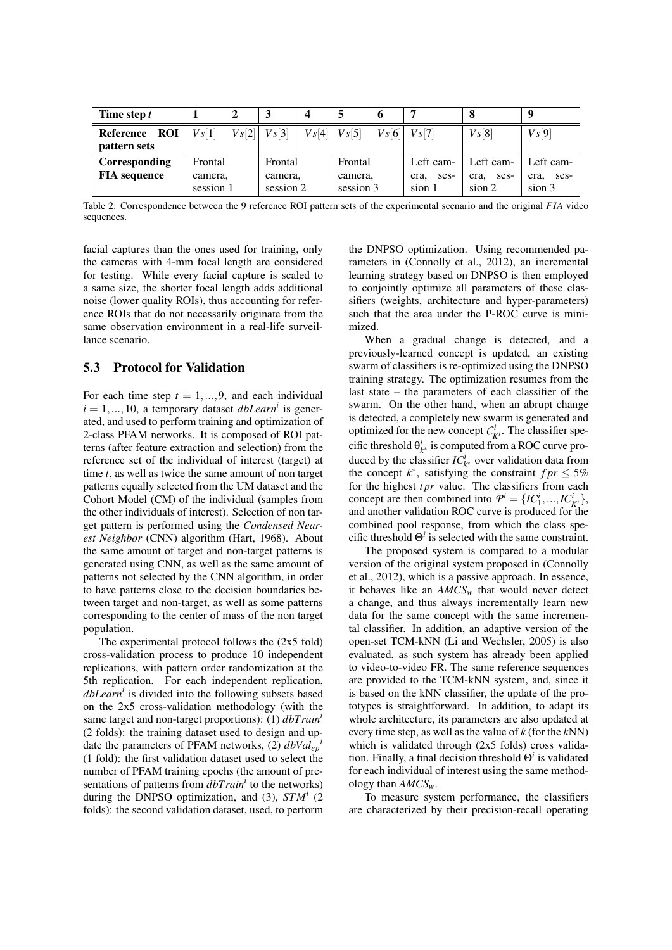| Time step t                             |                    |          |                    | 4        |                    | O        |                           |                           |                           |
|-----------------------------------------|--------------------|----------|--------------------|----------|--------------------|----------|---------------------------|---------------------------|---------------------------|
| <b>ROI</b><br>Reference<br>pattern sets | $V_s[1]$           | $V_s[2]$ | $V_s[3]$           | $V_s[4]$ | $V_s[5]$           | $V_s[6]$ | $V_s[7]$                  | $V_s[8]$                  | $V_s[9]$                  |
| Corresponding<br><b>FIA</b> sequence    | Frontal<br>camera, |          | Frontal<br>camera, |          | Frontal<br>camera, |          | Left cam-<br>ses-<br>era. | Left cam-<br>ses-<br>era, | Left cam-<br>ses-<br>era, |
|                                         | session 1          |          | session 2          |          | session 3          |          | sion 1                    | sion 2                    | sion 3                    |

Table 2: Correspondence between the 9 reference ROI pattern sets of the experimental scenario and the original *F IA* video sequences.

facial captures than the ones used for training, only the cameras with 4-mm focal length are considered for testing. While every facial capture is scaled to a same size, the shorter focal length adds additional noise (lower quality ROIs), thus accounting for reference ROIs that do not necessarily originate from the same observation environment in a real-life surveillance scenario.

### 5.3 Protocol for Validation

For each time step  $t = 1, \ldots, 9$ , and each individual  $i = 1, \ldots, 10$ , a temporary dataset *dbLearn<sup>i</sup>* is generated, and used to perform training and optimization of 2-class PFAM networks. It is composed of ROI patterns (after feature extraction and selection) from the reference set of the individual of interest (target) at time *t*, as well as twice the same amount of non target patterns equally selected from the UM dataset and the Cohort Model (CM) of the individual (samples from the other individuals of interest). Selection of non target pattern is performed using the *Condensed Nearest Neighbor* (CNN) algorithm (Hart, 1968). About the same amount of target and non-target patterns is generated using CNN, as well as the same amount of patterns not selected by the CNN algorithm, in order to have patterns close to the decision boundaries between target and non-target, as well as some patterns corresponding to the center of mass of the non target population.

The experimental protocol follows the (2x5 fold) cross-validation process to produce 10 independent replications, with pattern order randomization at the 5th replication. For each independent replication, *dbLearn<sup>i</sup>* is divided into the following subsets based on the 2x5 cross-validation methodology (with the same target and non-target proportions): (1) *dbTrain<sup>i</sup>* (2 folds): the training dataset used to design and update the parameters of PFAM networks, (2) *dbValep i* (1 fold): the first validation dataset used to select the number of PFAM training epochs (the amount of presentations of patterns from *dbTrain<sup>i</sup>* to the networks) during the DNPSO optimization, and (3), *STM<sup>i</sup>* (2 folds): the second validation dataset, used, to perform

the DNPSO optimization. Using recommended parameters in (Connolly et al., 2012), an incremental learning strategy based on DNPSO is then employed to conjointly optimize all parameters of these classifiers (weights, architecture and hyper-parameters) such that the area under the P-ROC curve is minimized.

When a gradual change is detected, and a previously-learned concept is updated, an existing swarm of classifiers is re-optimized using the DNPSO training strategy. The optimization resumes from the last state – the parameters of each classifier of the swarm. On the other hand, when an abrupt change is detected, a completely new swarm is generated and optimized for the new concept  $C_{\vec{k}}^i$ . The classifier specific threshold  $\theta_{k^*}^i$  is computed from a ROC curve produced by the classifier  $IC_{k^*}^i$  over validation data from the concept  $k^*$ , satisfying the constraint  $fpr \leq 5\%$ for the highest *tpr* value. The classifiers from each concept are then combined into  $\mathcal{P}^i = \{IC^i_1, ..., IC^i_{K^i}\},$ and another validation ROC curve is produced for the combined pool response, from which the class specific threshold  $\Theta^i$  is selected with the same constraint.

The proposed system is compared to a modular version of the original system proposed in (Connolly et al., 2012), which is a passive approach. In essence, it behaves like an  $AMCS<sub>w</sub>$  that would never detect a change, and thus always incrementally learn new data for the same concept with the same incremental classifier. In addition, an adaptive version of the open-set TCM-kNN (Li and Wechsler, 2005) is also evaluated, as such system has already been applied to video-to-video FR. The same reference sequences are provided to the TCM-kNN system, and, since it is based on the kNN classifier, the update of the prototypes is straightforward. In addition, to adapt its whole architecture, its parameters are also updated at every time step, as well as the value of *k* (for the *k*NN) which is validated through (2x5 folds) cross validation. Finally, a final decision threshold Θ*<sup>i</sup>* is validated for each individual of interest using the same methodology than *AMCSw*.

To measure system performance, the classifiers are characterized by their precision-recall operating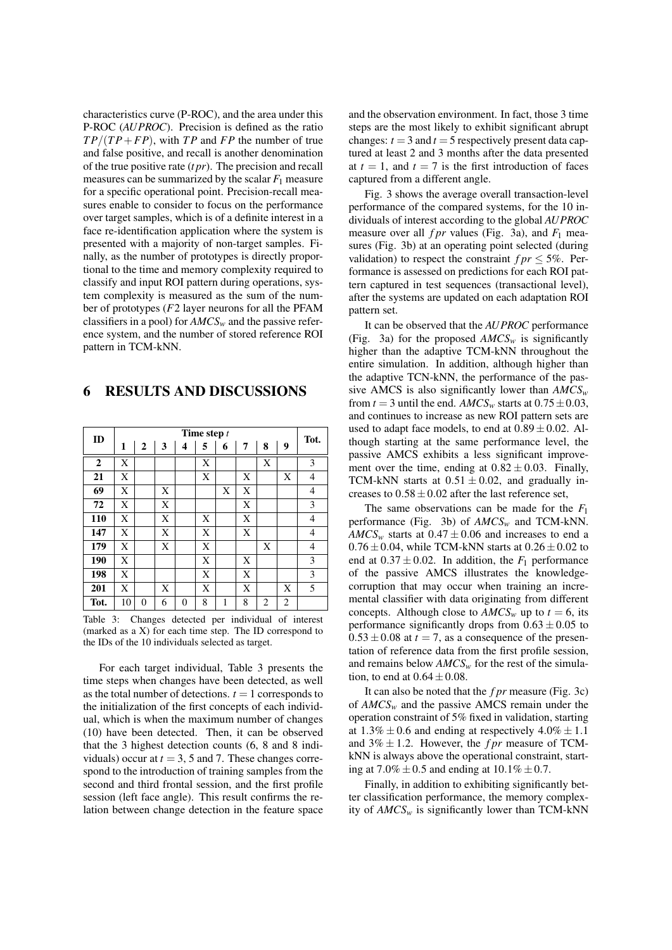characteristics curve (P-ROC), and the area under this P-ROC (*AUPROC*). Precision is defined as the ratio  $TP/(TP+FP)$ , with *TP* and *FP* the number of true and false positive, and recall is another denomination of the true positive rate (*t pr*). The precision and recall measures can be summarized by the scalar  $F_1$  measure for a specific operational point. Precision-recall measures enable to consider to focus on the performance over target samples, which is of a definite interest in a face re-identification application where the system is presented with a majority of non-target samples. Finally, as the number of prototypes is directly proportional to the time and memory complexity required to classify and input ROI pattern during operations, system complexity is measured as the sum of the number of prototypes (*F*2 layer neurons for all the PFAM classifiers in a pool) for *AMCS<sup>w</sup>* and the passive reference system, and the number of stored reference ROI pattern in TCM-kNN.

### 6 RESULTS AND DISCUSSIONS

| ID             | Time step $t$ |          |   |                |   |   |   |   |   |                |
|----------------|---------------|----------|---|----------------|---|---|---|---|---|----------------|
|                | 1             | 2        | 3 | 4              | 5 | 6 | 7 | 8 | 9 | Tot.           |
| $\overline{2}$ | X             |          |   |                | X |   |   | X |   | 3              |
| 21             | X             |          |   |                | X |   | X |   | X | $\overline{4}$ |
| 69             | X             |          | X |                |   | X | X |   |   | $\overline{4}$ |
| 72             | X             |          | X |                |   |   | X |   |   | 3              |
| 110            | X             |          | X |                | X |   | X |   |   | $\overline{4}$ |
| 147            | X             |          | X |                | X |   | X |   |   | $\overline{4}$ |
| 179            | X             |          | X |                | X |   |   | X |   | $\overline{4}$ |
| 190            | X             |          |   |                | X |   | X |   |   | 3              |
| 198            | X             |          |   |                | X |   | X |   |   | 3              |
| 201            | X             |          | X |                | X |   | X |   | X | 5              |
| Tot.           | 10            | $\theta$ | 6 | $\overline{0}$ | 8 | 1 | 8 | 2 | 2 |                |

Table 3: Changes detected per individual of interest (marked as a X) for each time step. The ID correspond to the IDs of the 10 individuals selected as target.

For each target individual, Table 3 presents the time steps when changes have been detected, as well as the total number of detections.  $t = 1$  corresponds to the initialization of the first concepts of each individual, which is when the maximum number of changes (10) have been detected. Then, it can be observed that the 3 highest detection counts (6, 8 and 8 individuals) occur at  $t = 3$ , 5 and 7. These changes correspond to the introduction of training samples from the second and third frontal session, and the first profile session (left face angle). This result confirms the relation between change detection in the feature space

and the observation environment. In fact, those 3 time steps are the most likely to exhibit significant abrupt changes:  $t = 3$  and  $t = 5$  respectively present data captured at least 2 and 3 months after the data presented at  $t = 1$ , and  $t = 7$  is the first introduction of faces captured from a different angle.

Fig. 3 shows the average overall transaction-level performance of the compared systems, for the 10 individuals of interest according to the global *AUPROC* measure over all  $fpr$  values (Fig. 3a), and  $F_1$  measures (Fig. 3b) at an operating point selected (during validation) to respect the constraint  $fpr \leq 5\%$ . Performance is assessed on predictions for each ROI pattern captured in test sequences (transactional level), after the systems are updated on each adaptation ROI pattern set.

It can be observed that the *AUPROC* performance (Fig. 3a) for the proposed  $AMCS_w$  is significantly higher than the adaptive TCM-kNN throughout the entire simulation. In addition, although higher than the adaptive TCN-kNN, the performance of the passive AMCS is also significantly lower than *AMCS<sup>w</sup>* from  $t = 3$  until the end.  $AMCS_w$  starts at  $0.75 \pm 0.03$ , and continues to increase as new ROI pattern sets are used to adapt face models, to end at  $0.89 \pm 0.02$ . Although starting at the same performance level, the passive AMCS exhibits a less significant improvement over the time, ending at  $0.82 \pm 0.03$ . Finally, TCM-kNN starts at  $0.51 \pm 0.02$ , and gradually increases to  $0.58 \pm 0.02$  after the last reference set,

The same observations can be made for the *F*<sup>1</sup> performance (Fig. 3b) of *AMCS<sup>w</sup>* and TCM-kNN.  $AMCS<sub>w</sub>$  starts at  $0.47 \pm 0.06$  and increases to end a  $0.76 \pm 0.04$ , while TCM-kNN starts at  $0.26 \pm 0.02$  to end at  $0.37 \pm 0.02$ . In addition, the  $F_1$  performance of the passive AMCS illustrates the knowledgecorruption that may occur when training an incremental classifier with data originating from different concepts. Although close to  $AMCS_w$  up to  $t = 6$ , its performance significantly drops from  $0.63 \pm 0.05$  to  $0.53 \pm 0.08$  at  $t = 7$ , as a consequence of the presentation of reference data from the first profile session, and remains below  $AMCS<sub>w</sub>$  for the rest of the simulation, to end at  $0.64 \pm 0.08$ .

It can also be noted that the *f pr* measure (Fig. 3c) of *AMCS<sup>w</sup>* and the passive AMCS remain under the operation constraint of 5% fixed in validation, starting at  $1.3\% \pm 0.6$  and ending at respectively  $4.0\% \pm 1.1$ and  $3\% \pm 1.2$ . However, the *f pr* measure of TCMkNN is always above the operational constraint, starting at  $7.0\% \pm 0.5$  and ending at  $10.1\% \pm 0.7$ .

Finally, in addition to exhibiting significantly better classification performance, the memory complexity of  $AMCS_w$  is significantly lower than TCM-kNN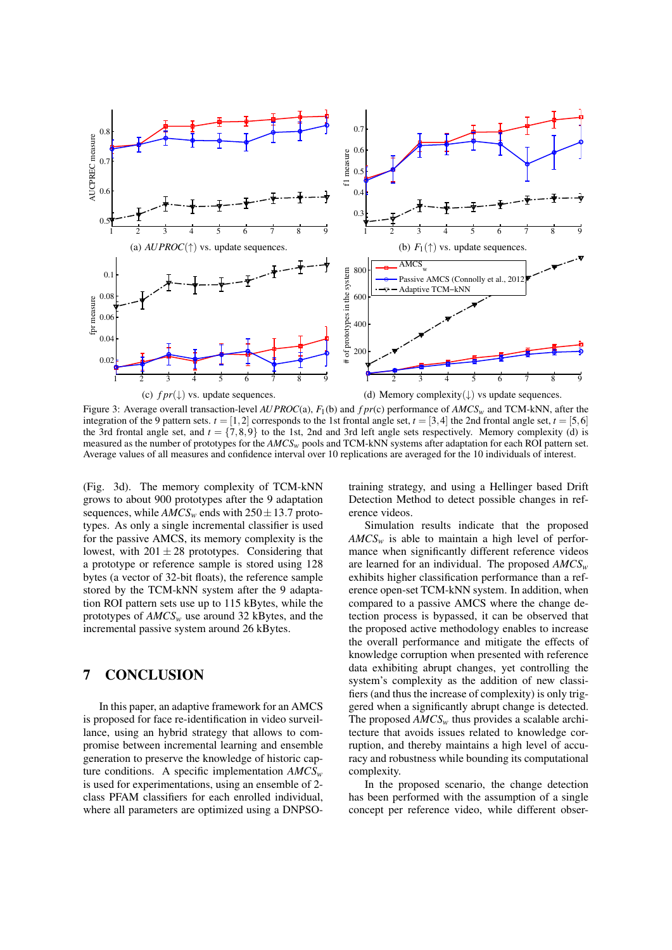

Figure 3: Average overall transaction-level *AUPROC*(a), *F*1(b) and *f pr*(c) performance of *AMCS<sup>w</sup>* and TCM-kNN, after the integration of the 9 pattern sets.  $t = [1,2]$  corresponds to the 1st frontal angle set,  $t = [3,4]$  the 2nd frontal angle set,  $t = [5,6]$ the 3rd frontal angle set, and  $t = \{7,8,9\}$  to the 1st, 2nd and 3rd left angle sets respectively. Memory complexity (d) is measured as the number of prototypes for the *AMCSw* pools and TCM-kNN systems after adaptation for each ROI pattern set. Average values of all measures and confidence interval over 10 replications are averaged for the 10 individuals of interest.

(Fig. 3d). The memory complexity of TCM-kNN grows to about 900 prototypes after the 9 adaptation sequences, while  $AMCS_w$  ends with  $250 \pm 13.7$  prototypes. As only a single incremental classifier is used for the passive AMCS, its memory complexity is the lowest, with  $201 \pm 28$  prototypes. Considering that a prototype or reference sample is stored using 128 bytes (a vector of 32-bit floats), the reference sample stored by the TCM-kNN system after the 9 adaptation ROI pattern sets use up to 115 kBytes, while the prototypes of *AMCS<sup>w</sup>* use around 32 kBytes, and the incremental passive system around 26 kBytes.

### 7 CONCLUSION

In this paper, an adaptive framework for an AMCS is proposed for face re-identification in video surveillance, using an hybrid strategy that allows to compromise between incremental learning and ensemble generation to preserve the knowledge of historic capture conditions. A specific implementation *AMCS<sup>w</sup>* is used for experimentations, using an ensemble of 2 class PFAM classifiers for each enrolled individual, where all parameters are optimized using a DNPSO-

training strategy, and using a Hellinger based Drift Detection Method to detect possible changes in reference videos.

Simulation results indicate that the proposed *AMCS<sup>w</sup>* is able to maintain a high level of performance when significantly different reference videos are learned for an individual. The proposed *AMCS<sup>w</sup>* exhibits higher classification performance than a reference open-set TCM-kNN system. In addition, when compared to a passive AMCS where the change detection process is bypassed, it can be observed that the proposed active methodology enables to increase the overall performance and mitigate the effects of knowledge corruption when presented with reference data exhibiting abrupt changes, yet controlling the system's complexity as the addition of new classifiers (and thus the increase of complexity) is only triggered when a significantly abrupt change is detected. The proposed  $AMCS<sub>w</sub>$  thus provides a scalable architecture that avoids issues related to knowledge corruption, and thereby maintains a high level of accuracy and robustness while bounding its computational complexity.

In the proposed scenario, the change detection has been performed with the assumption of a single concept per reference video, while different obser